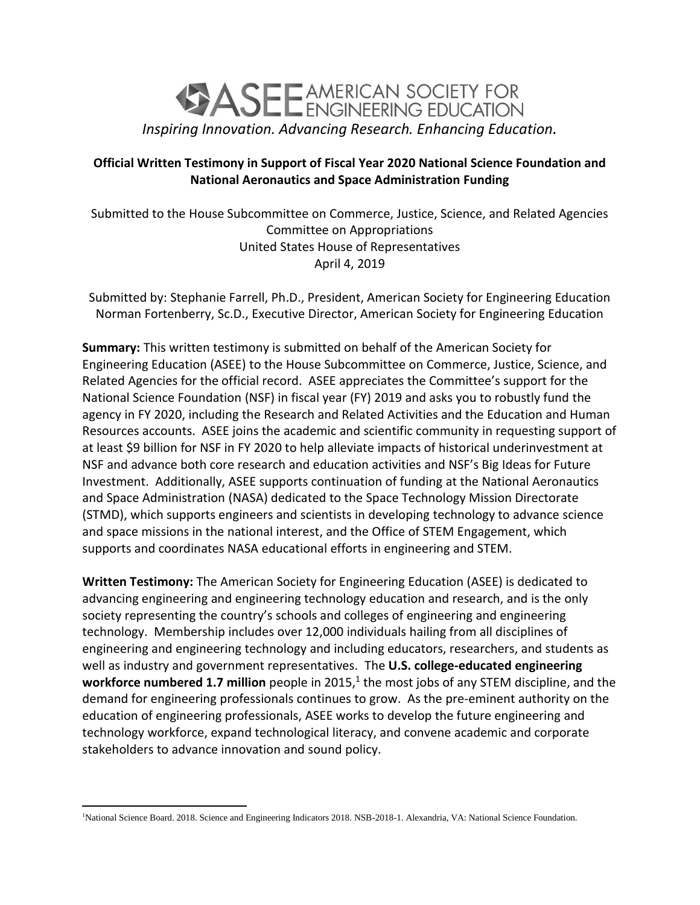

## **Official Written Testimony in Support of Fiscal Year 2020 National Science Foundation and National Aeronautics and Space Administration Funding**

Submitted to the House Subcommittee on Commerce, Justice, Science, and Related Agencies Committee on Appropriations United States House of Representatives April 4, 2019

Submitted by: Stephanie Farrell, Ph.D., President, American Society for Engineering Education Norman Fortenberry, Sc.D., Executive Director, American Society for Engineering Education

**Summary:** This written testimony is submitted on behalf of the American Society for Engineering Education (ASEE) to the House Subcommittee on Commerce, Justice, Science, and Related Agencies for the official record. ASEE appreciates the Committee's support for the National Science Foundation (NSF) in fiscal year (FY) 2019 and asks you to robustly fund the agency in FY 2020, including the Research and Related Activities and the Education and Human Resources accounts. ASEE joins the academic and scientific community in requesting support of at least \$9 billion for NSF in FY 2020 to help alleviate impacts of historical underinvestment at NSF and advance both core research and education activities and NSF's Big Ideas for Future Investment. Additionally, ASEE supports continuation of funding at the National Aeronautics and Space Administration (NASA) dedicated to the Space Technology Mission Directorate (STMD), which supports engineers and scientists in developing technology to advance science and space missions in the national interest, and the Office of STEM Engagement, which supports and coordinates NASA educational efforts in engineering and STEM.

**Written Testimony:** The American Society for Engineering Education (ASEE) is dedicated to advancing engineering and engineering technology education and research, and is the only society representing the country's schools and colleges of engineering and engineering technology. Membership includes over 12,000 individuals hailing from all disciplines of engineering and engineering technology and including educators, researchers, and students as well as industry and government representatives. The **U.S. college-educated engineering**  workforce numbered 1.7 million people in 2015,<sup>1</sup> the most jobs of any STEM discipline, and the demand for engineering professionals continues to grow. As the pre-eminent authority on the education of engineering professionals, ASEE works to develop the future engineering and technology workforce, expand technological literacy, and convene academic and corporate stakeholders to advance innovation and sound policy.

 $\overline{a}$ 

<sup>1</sup>National Science Board. 2018. Science and Engineering Indicators 2018. NSB-2018-1. Alexandria, VA: National Science Foundation.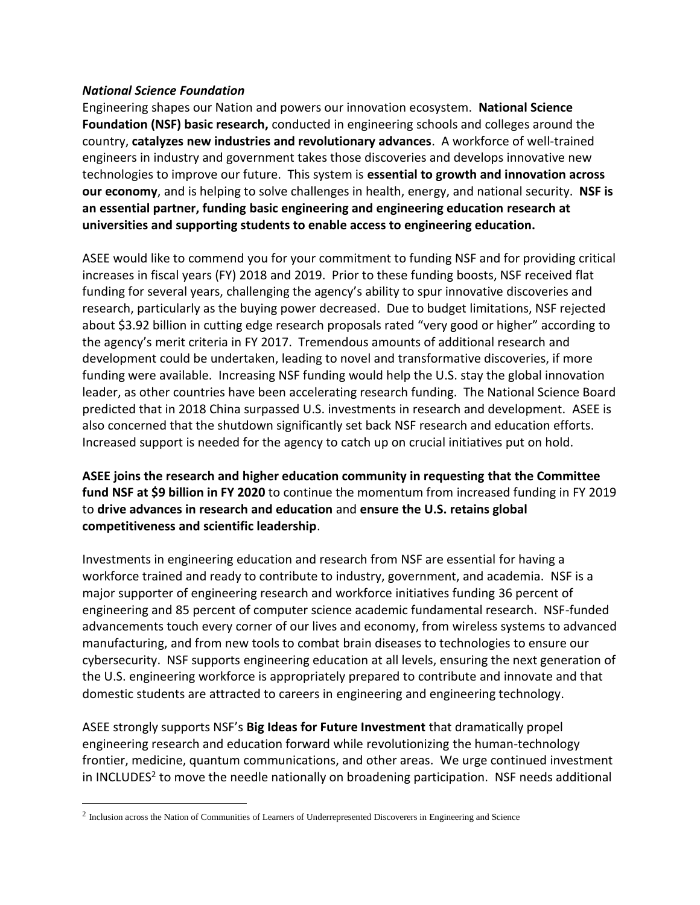## *National Science Foundation*

Engineering shapes our Nation and powers our innovation ecosystem. **National Science Foundation (NSF) basic research,** conducted in engineering schools and colleges around the country, **catalyzes new industries and revolutionary advances**. A workforce of well-trained engineers in industry and government takes those discoveries and develops innovative new technologies to improve our future. This system is **essential to growth and innovation across our economy**, and is helping to solve challenges in health, energy, and national security. **NSF is an essential partner, funding basic engineering and engineering education research at universities and supporting students to enable access to engineering education.** 

ASEE would like to commend you for your commitment to funding NSF and for providing critical increases in fiscal years (FY) 2018 and 2019. Prior to these funding boosts, NSF received flat funding for several years, challenging the agency's ability to spur innovative discoveries and research, particularly as the buying power decreased. Due to budget limitations, NSF rejected about \$3.92 billion in cutting edge research proposals rated "very good or higher" according to the agency's merit criteria in FY 2017. Tremendous amounts of additional research and development could be undertaken, leading to novel and transformative discoveries, if more funding were available. Increasing NSF funding would help the U.S. stay the global innovation leader, as other countries have been accelerating research funding. The National Science Board predicted that in 2018 China surpassed U.S. investments in research and development. ASEE is also concerned that the shutdown significantly set back NSF research and education efforts. Increased support is needed for the agency to catch up on crucial initiatives put on hold.

**ASEE joins the research and higher education community in requesting that the Committee fund NSF at \$9 billion in FY 2020** to continue the momentum from increased funding in FY 2019 to **drive advances in research and education** and **ensure the U.S. retains global competitiveness and scientific leadership**.

Investments in engineering education and research from NSF are essential for having a workforce trained and ready to contribute to industry, government, and academia. NSF is a major supporter of engineering research and workforce initiatives funding 36 percent of engineering and 85 percent of computer science academic fundamental research. NSF-funded advancements touch every corner of our lives and economy, from wireless systems to advanced manufacturing, and from new tools to combat brain diseases to technologies to ensure our cybersecurity. NSF supports engineering education at all levels, ensuring the next generation of the U.S. engineering workforce is appropriately prepared to contribute and innovate and that domestic students are attracted to careers in engineering and engineering technology.

ASEE strongly supports NSF's **Big Ideas for Future Investment** that dramatically propel engineering research and education forward while revolutionizing the human-technology frontier, medicine, quantum communications, and other areas. We urge continued investment in INCLUDES<sup>2</sup> to move the needle nationally on broadening participation. NSF needs additional

 $\overline{a}$ 

<sup>&</sup>lt;sup>2</sup> Inclusion across the Nation of Communities of Learners of Underrepresented Discoverers in Engineering and Science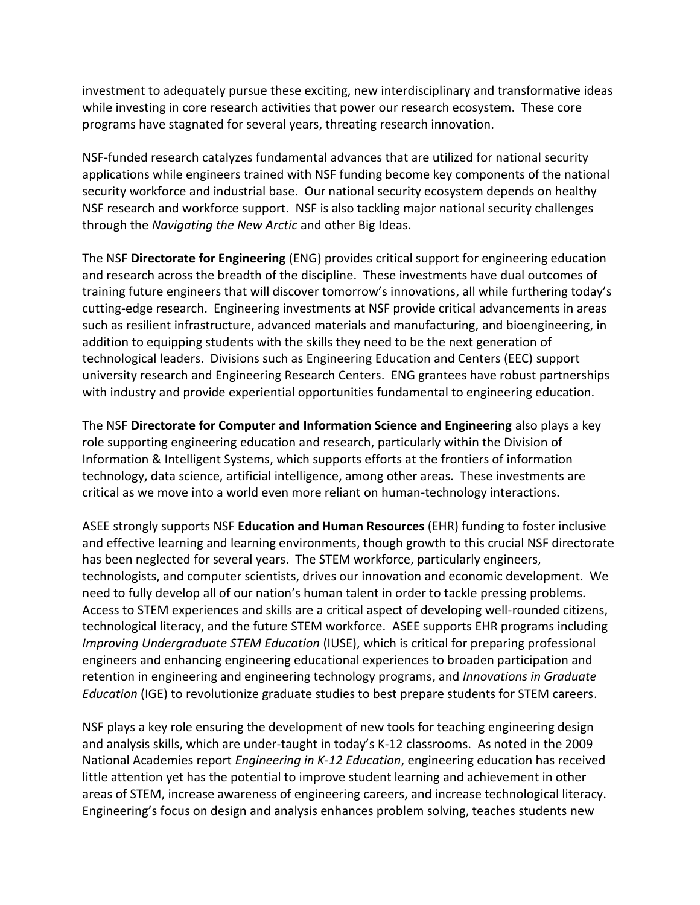investment to adequately pursue these exciting, new interdisciplinary and transformative ideas while investing in core research activities that power our research ecosystem. These core programs have stagnated for several years, threating research innovation.

NSF-funded research catalyzes fundamental advances that are utilized for national security applications while engineers trained with NSF funding become key components of the national security workforce and industrial base. Our national security ecosystem depends on healthy NSF research and workforce support. NSF is also tackling major national security challenges through the *Navigating the New Arctic* and other Big Ideas.

The NSF **Directorate for Engineering** (ENG) provides critical support for engineering education and research across the breadth of the discipline. These investments have dual outcomes of training future engineers that will discover tomorrow's innovations, all while furthering today's cutting-edge research. Engineering investments at NSF provide critical advancements in areas such as resilient infrastructure, advanced materials and manufacturing, and bioengineering, in addition to equipping students with the skills they need to be the next generation of technological leaders. Divisions such as Engineering Education and Centers (EEC) support university research and Engineering Research Centers. ENG grantees have robust partnerships with industry and provide experiential opportunities fundamental to engineering education.

The NSF **Directorate for Computer and Information Science and Engineering** also plays a key role supporting engineering education and research, particularly within the Division of Information & Intelligent Systems, which supports efforts at the frontiers of information technology, data science, artificial intelligence, among other areas. These investments are critical as we move into a world even more reliant on human-technology interactions.

ASEE strongly supports NSF **Education and Human Resources** (EHR) funding to foster inclusive and effective learning and learning environments, though growth to this crucial NSF directorate has been neglected for several years. The STEM workforce, particularly engineers, technologists, and computer scientists, drives our innovation and economic development. We need to fully develop all of our nation's human talent in order to tackle pressing problems. Access to STEM experiences and skills are a critical aspect of developing well-rounded citizens, technological literacy, and the future STEM workforce. ASEE supports EHR programs including *Improving Undergraduate STEM Education* (IUSE), which is critical for preparing professional engineers and enhancing engineering educational experiences to broaden participation and retention in engineering and engineering technology programs, and *Innovations in Graduate Education* (IGE) to revolutionize graduate studies to best prepare students for STEM careers.

NSF plays a key role ensuring the development of new tools for teaching engineering design and analysis skills, which are under-taught in today's K-12 classrooms. As noted in the 2009 National Academies report *Engineering in K-12 Education*, engineering education has received little attention yet has the potential to improve student learning and achievement in other areas of STEM, increase awareness of engineering careers, and increase technological literacy. Engineering's focus on design and analysis enhances problem solving, teaches students new